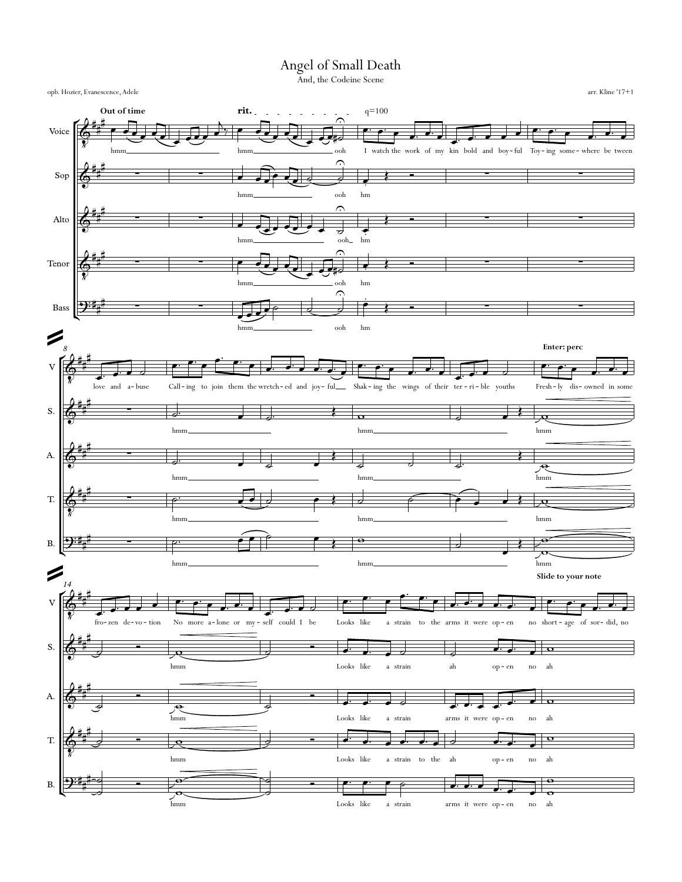## Angel of Small Death

And, the Codeine Scene

opb. Hozier, Evanescence, Adele

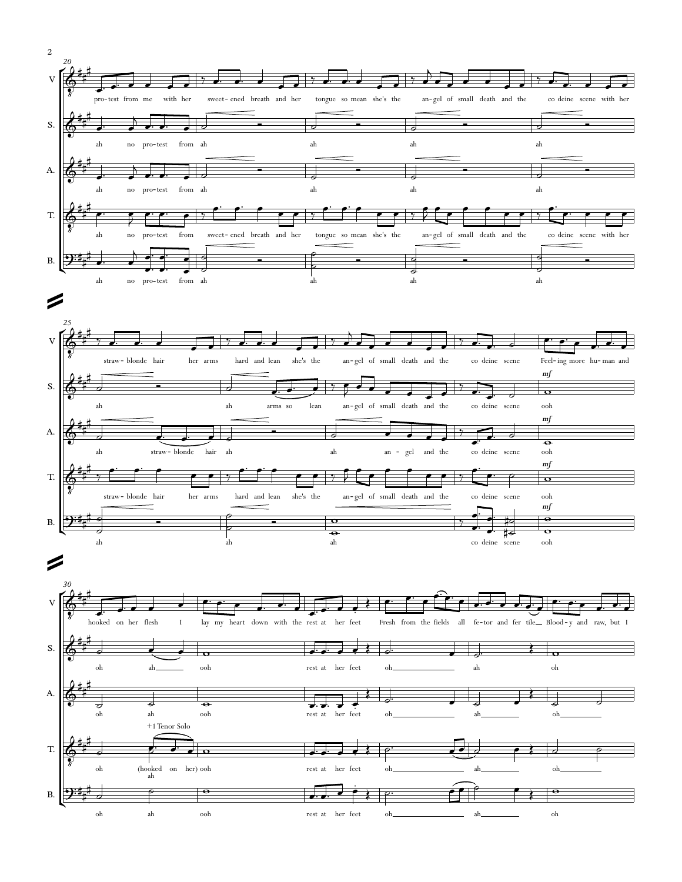



 $_{\rm oh}$ 

 $ah$ 

 $\rm ooh$ 

 $\operatorname{rest}$  at  $\quad$  her  $\,$  feet  $_{\rm oh}$ ah  $oh$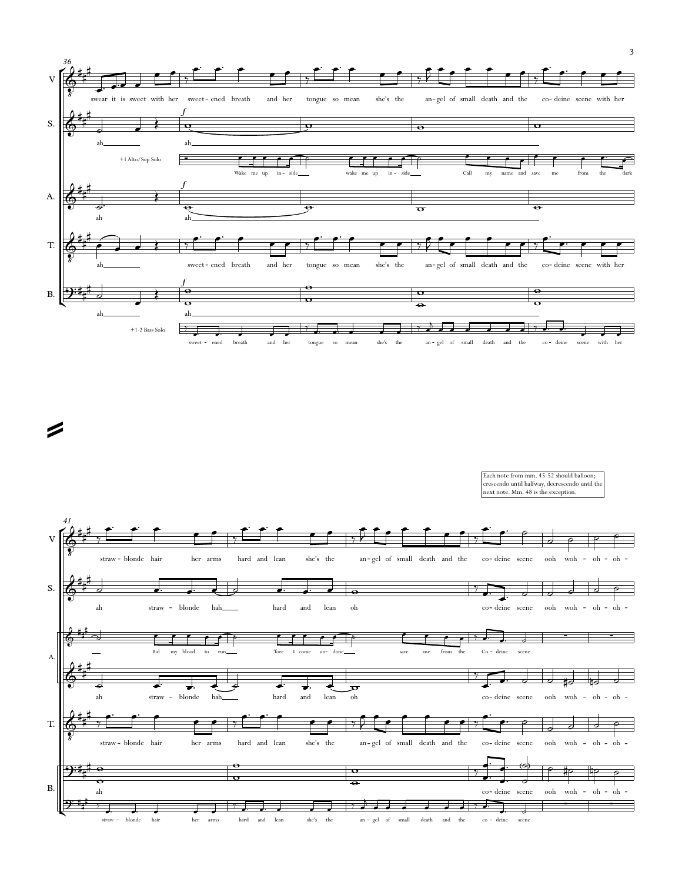

=

Each note from mm. 45-52 should balloon; crescendo until halfway, decrescendo until the next note. Mm. 48 is the exception.

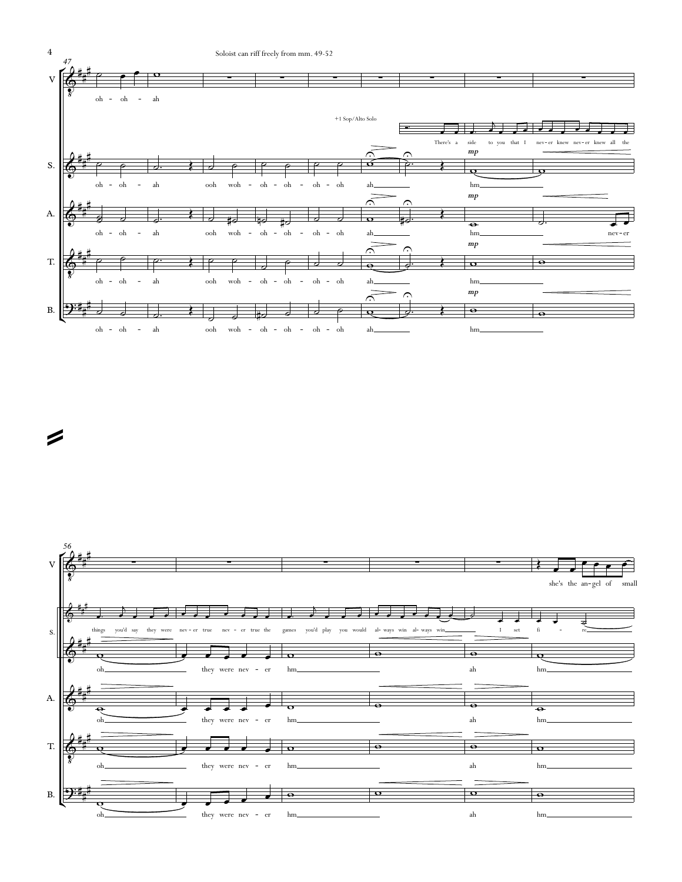



=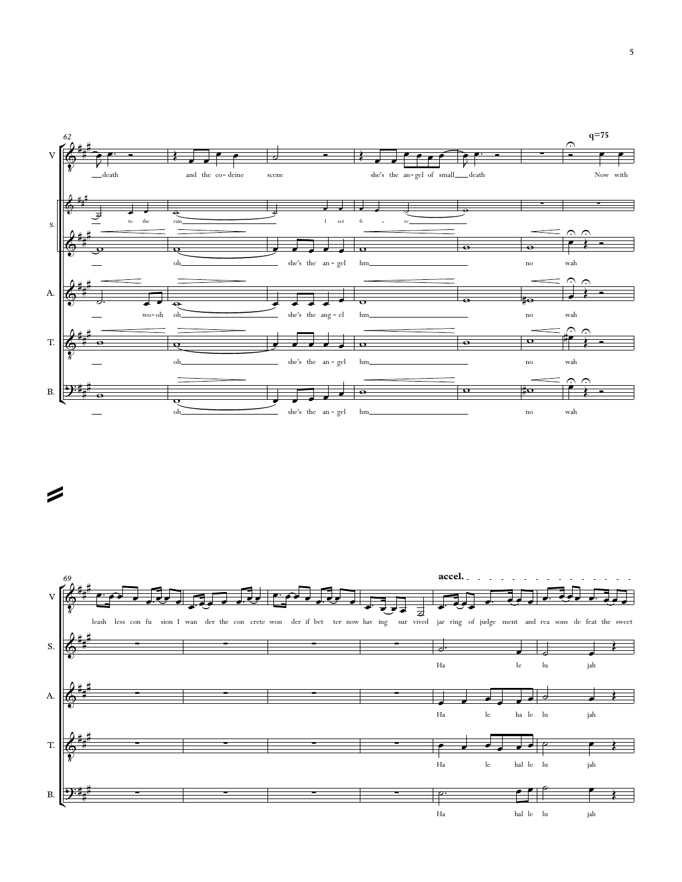

 $\boldsymbol{z}$ 

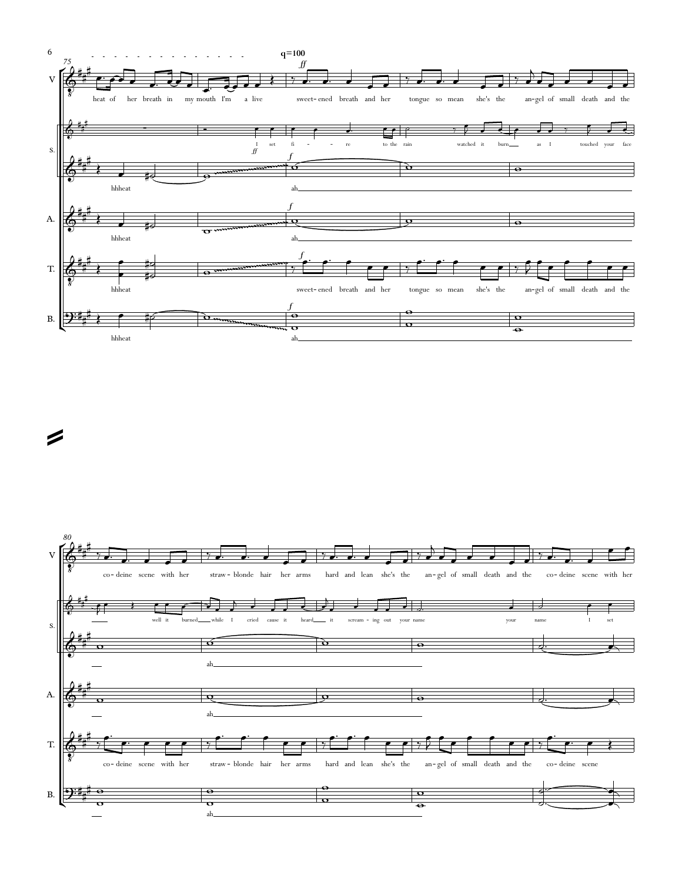

=

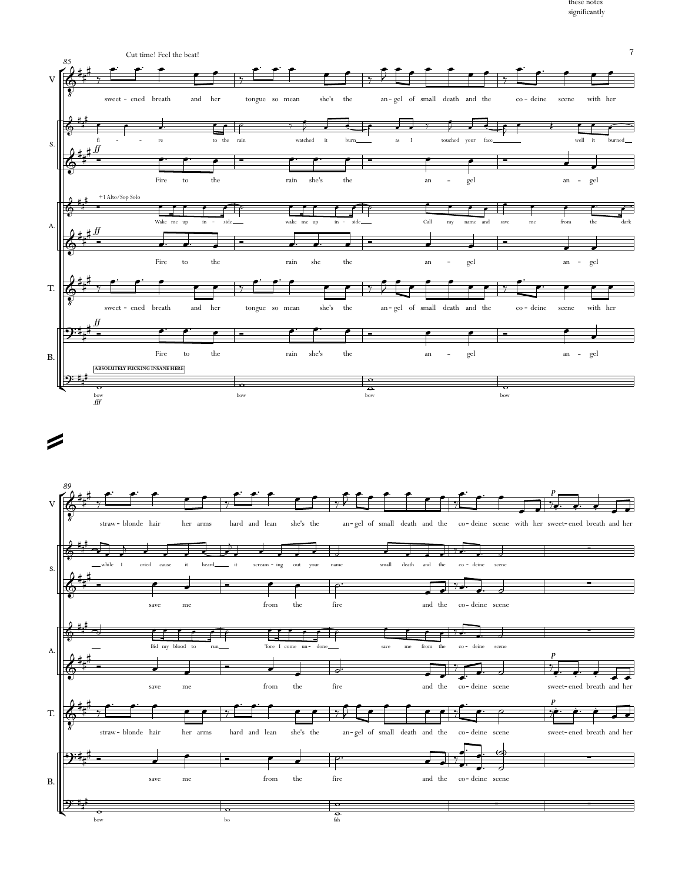